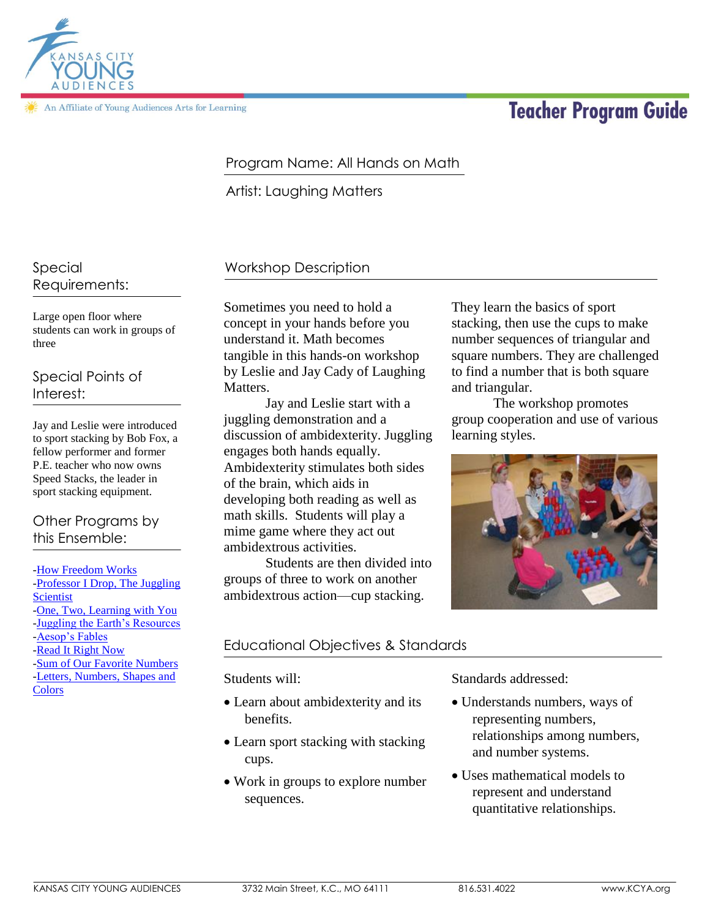

An Affiliate of Young Audiences Arts for Learning

# **Teacher Program Guide**

# Program Name: All Hands on Math

Artist: Laughing Matters

#### Special Requirements:

Large open floor where students can work in groups of three

Special Points of Interest:

Jay and Leslie were introduced to sport stacking by Bob Fox, a fellow performer and former P.E. teacher who now owns Speed Stacks, the leader in sport stacking equipment.

# Other Programs by this Ensemble:

[-How Freedom Works](http://kcya.lazarusgroup.com/art_catalog.php?page=list&q=item&id=266) [-Professor I Drop, The Juggling](http://kcya.lazarusgroup.com/art_catalog.php?page=list&q=item&id=320)  **[Scientist](http://kcya.lazarusgroup.com/art_catalog.php?page=list&q=item&id=320)** [-One, Two, Learning with You](http://kcya.lazarusgroup.com/art_catalog.php?page=list&q=item&id=519) [-Juggling the Earth's Resources](http://kcya.lazarusgroup.com/art_catalog.php?page=list&q=item&id=277) [-Aesop's Fables](http://kcya.lazarusgroup.com/art_catalog.php?page=list&q=item&id=221) [-Read It Right Now](http://kcya.lazarusgroup.com/art_catalog.php?page=list&q=item&id=323) [-Sum of Our Favorite Numbers](http://kcya.lazarusgroup.com/art_catalog.php?page=list&q=item&id=342) [-Letters, Numbers, Shapes and](http://kcya.lazarusgroup.com/art_catalog.php?page=list&q=item&id=284)  **[Colors](http://kcya.lazarusgroup.com/art_catalog.php?page=list&q=item&id=284)** 

# Workshop Description

Sometimes you need to hold a concept in your hands before you understand it. Math becomes tangible in this hands-on workshop by Leslie and Jay Cady of Laughing Matters.

Jay and Leslie start with a juggling demonstration and a discussion of ambidexterity. Juggling engages both hands equally. Ambidexterity stimulates both sides of the brain, which aids in developing both reading as well as math skills. Students will play a mime game where they act out ambidextrous activities.

Students are then divided into groups of three to work on another ambidextrous action—cup stacking.

# They learn the basics of sport stacking, then use the cups to make number sequences of triangular and square numbers. They are challenged to find a number that is both square and triangular.

The workshop promotes group cooperation and use of various learning styles.



## Educational Objectives & Standards

Students will:

- Learn about ambidexterity and its benefits.
- Learn sport stacking with stacking cups.
- Work in groups to explore number sequences.

Standards addressed:

- Understands numbers, ways of representing numbers, relationships among numbers, and number systems.
- Uses mathematical models to represent and understand quantitative relationships.